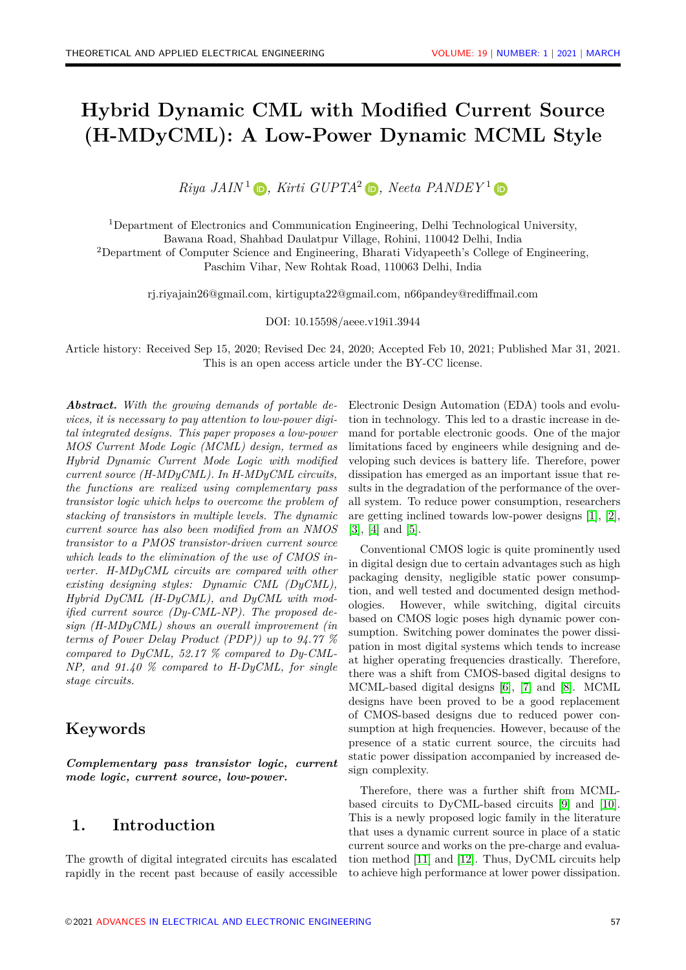# **Hybrid Dynamic CML with Modified Current Source (H-MDyCML): A Low-Power Dynamic MCML Style**

 $Riya\ JAIN<sup>1</sup>$   $\bigoplus$ *[,](https://orcid.org/0000-0003-0565-0654) Kirti GUPTA*<sup>2</sup>  $\bigoplus$ *, Neeta PANDEY*<sup>1</sup>

<sup>1</sup>Department of Electronics and Communication Engineering, Delhi Technological University, Bawana Road, Shahbad Daulatpur Village, Rohini, 110042 Delhi, India <sup>2</sup>Department of Computer Science and Engineering, Bharati Vidyapeeth's College of Engineering, Paschim Vihar, New Rohtak Road, 110063 Delhi, India

rj.riyajain26@gmail.com, kirtigupta22@gmail.com, n66pandey@rediffmail.com

DOI: 10.15598/aeee.v19i1.3944

Article history: Received Sep 15, 2020; Revised Dec 24, 2020; Accepted Feb 10, 2021; Published Mar 31, 2021. This is an open access article under the [BY-CC license.](https://creativecommons.org/licenses/by/4.0/)

*Abstract. With the growing demands of portable devices, it is necessary to pay attention to low-power digital integrated designs. This paper proposes a low-power MOS Current Mode Logic (MCML) design, termed as Hybrid Dynamic Current Mode Logic with modified current source (H-MDyCML). In H-MDyCML circuits, the functions are realized using complementary pass transistor logic which helps to overcome the problem of stacking of transistors in multiple levels. The dynamic current source has also been modified from an NMOS transistor to a PMOS transistor-driven current source which leads to the elimination of the use of CMOS inverter. H-MDyCML circuits are compared with other existing designing styles: Dynamic CML (DyCML), Hybrid DyCML (H-DyCML), and DyCML with modified current source (Dy-CML-NP). The proposed design (H-MDyCML) shows an overall improvement (in terms of Power Delay Product (PDP)) up to 94.77 % compared to DyCML, 52.17 % compared to Dy-CML-NP, and 91.40 % compared to H-DyCML, for single stage circuits.*

#### **Keywords**

*Complementary pass transistor logic, current mode logic, current source, low-power.*

### **1. Introduction**

The growth of digital integrated circuits has escalated rapidly in the recent past because of easily accessible Electronic Design Automation (EDA) tools and evolution in technology. This led to a drastic increase in demand for portable electronic goods. One of the major limitations faced by engineers while designing and developing such devices is battery life. Therefore, power dissipation has emerged as an important issue that results in the degradation of the performance of the overall system. To reduce power consumption, researchers are getting inclined towards low-power designs [\[1\]](#page-7-0), [\[2\]](#page-7-1), [\[3\]](#page-7-2), [\[4\]](#page-7-3) and [\[5\]](#page-7-4).

Conventional CMOS logic is quite prominently used in digital design due to certain advantages such as high packaging density, negligible static power consumption, and well tested and documented design methodologies. However, while switching, digital circuits based on CMOS logic poses high dynamic power consumption. Switching power dominates the power dissipation in most digital systems which tends to increase at higher operating frequencies drastically. Therefore, there was a shift from CMOS-based digital designs to MCML-based digital designs [\[6\]](#page-7-5), [\[7\]](#page-7-6) and [\[8\]](#page-7-7). MCML designs have been proved to be a good replacement of CMOS-based designs due to reduced power consumption at high frequencies. However, because of the presence of a static current source, the circuits had static power dissipation accompanied by increased design complexity.

Therefore, there was a further shift from MCMLbased circuits to DyCML-based circuits [\[9\]](#page-7-8) and [\[10\]](#page-7-9). This is a newly proposed logic family in the literature that uses a dynamic current source in place of a static current source and works on the pre-charge and evaluation method [\[11\]](#page-7-10) and [\[12\]](#page-7-11). Thus, DyCML circuits help to achieve high performance at lower power dissipation.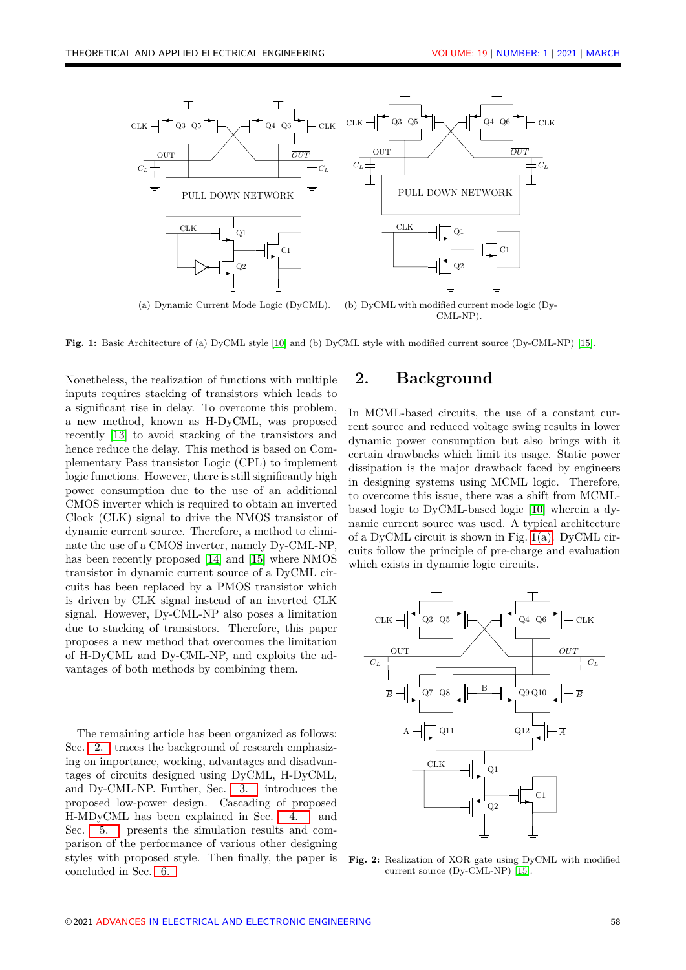<span id="page-1-1"></span>

**Fig. 1:** Basic Architecture of (a) DyCML style [\[10\]](#page-7-9) and (b) DyCML style with modified current source (Dy-CML-NP) [\[15\]](#page-7-12).

Nonetheless, the realization of functions with multiple inputs requires stacking of transistors which leads to a significant rise in delay. To overcome this problem, a new method, known as H-DyCML, was proposed recently [\[13\]](#page-7-13) to avoid stacking of the transistors and hence reduce the delay. This method is based on Complementary Pass transistor Logic (CPL) to implement logic functions. However, there is still significantly high power consumption due to the use of an additional CMOS inverter which is required to obtain an inverted Clock (CLK) signal to drive the NMOS transistor of dynamic current source. Therefore, a method to eliminate the use of a CMOS inverter, namely Dy-CML-NP, has been recently proposed [\[14\]](#page-7-14) and [\[15\]](#page-7-12) where NMOS transistor in dynamic current source of a DyCML circuits has been replaced by a PMOS transistor which is driven by CLK signal instead of an inverted CLK signal. However, Dy-CML-NP also poses a limitation due to stacking of transistors. Therefore, this paper proposes a new method that overcomes the limitation of H-DyCML and Dy-CML-NP, and exploits the advantages of both methods by combining them.

The remaining article has been organized as follows: Sec. [2.](#page-1-0) traces the background of research emphasizing on importance, working, advantages and disadvantages of circuits designed using DyCML, H-DyCML, and Dy-CML-NP. Further, Sec. [3.](#page-2-0) introduces the proposed low-power design. Cascading of proposed H-MDyCML has been explained in Sec. [4.](#page-4-0) and Sec. [5.](#page-4-1) presents the simulation results and comparison of the performance of various other designing styles with proposed style. Then finally, the paper is concluded in Sec. [6.](#page-6-0)

#### <span id="page-1-2"></span><span id="page-1-0"></span>**2. Background**

In MCML-based circuits, the use of a constant current source and reduced voltage swing results in lower dynamic power consumption but also brings with it certain drawbacks which limit its usage. Static power dissipation is the major drawback faced by engineers in designing systems using MCML logic. Therefore, to overcome this issue, there was a shift from MCMLbased logic to DyCML-based logic [\[10\]](#page-7-9) wherein a dynamic current source was used. A typical architecture of a DyCML circuit is shown in Fig. [1\(a\).](#page-1-1) DyCML circuits follow the principle of pre-charge and evaluation which exists in dynamic logic circuits.

<span id="page-1-3"></span>

**Fig. 2:** Realization of XOR gate using DyCML with modified current source (Dy-CML-NP) [\[15\]](#page-7-12).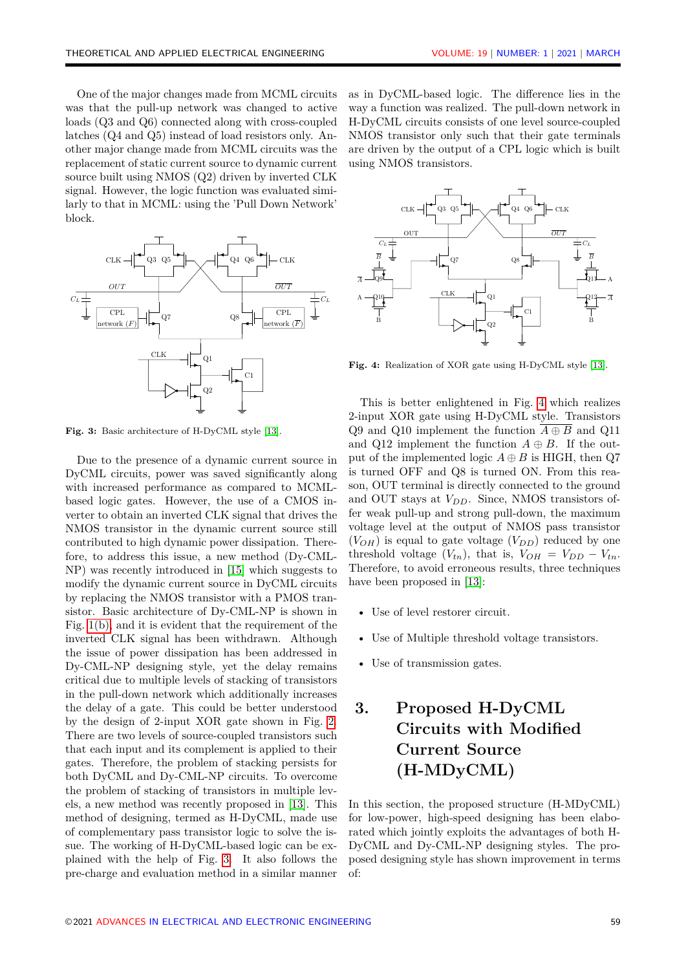One of the major changes made from MCML circuits was that the pull-up network was changed to active loads (Q3 and Q6) connected along with cross-coupled latches (Q4 and Q5) instead of load resistors only. Another major change made from MCML circuits was the replacement of static current source to dynamic current source built using NMOS (Q2) driven by inverted CLK signal. However, the logic function was evaluated similarly to that in MCML: using the 'Pull Down Network' block.

<span id="page-2-1"></span>

**Fig. 3:** Basic architecture of H-DyCML style [\[13\]](#page-7-13).

gates. Therefore, the problem of stacking persists for Due to the presence of a dynamic current source in DyCML circuits, power was saved significantly along with increased performance as compared to MCMLbased logic gates. However, the use of a CMOS inverter to obtain an inverted CLK signal that drives the NMOS transistor in the dynamic current source still contributed to high dynamic power dissipation. Therefore, to address this issue, a new method (Dy-CML-NP) was recently introduced in [\[15\]](#page-7-12) which suggests to modify the dynamic current source in DyCML circuits by replacing the NMOS transistor with a PMOS transistor. Basic architecture of Dy-CML-NP is shown in Fig. [1\(b\),](#page-1-2) and it is evident that the requirement of the inverted CLK signal has been withdrawn. Although the issue of power dissipation has been addressed in Dy-CML-NP designing style, yet the delay remains critical due to multiple levels of stacking of transistors in the pull-down network which additionally increases the delay of a gate. This could be better understood by the design of 2-input XOR gate shown in Fig. [2.](#page-1-3) There are two levels of source-coupled transistors such that each input and its complement is applied to their both DyCML and Dy-CML-NP circuits. To overcome the problem of stacking of transistors in multiple levels, a new method was recently proposed in [\[13\]](#page-7-13). This method of designing, termed as H-DyCML, made use of complementary pass transistor logic to solve the issue. The working of H-DyCML-based logic can be explained with the help of Fig. [3.](#page-2-1) It also follows the pre-charge and evaluation method in a similar manner

as in DyCML-based logic. The difference lies in the way a function was realized. The pull-down network in H-DyCML circuits consists of one level source-coupled NMOS transistor only such that their gate terminals are driven by the output of a CPL logic which is built using NMOS transistors.

<span id="page-2-2"></span>

**Fig. 4:** Realization of XOR gate using H-DyCML style [\[13\]](#page-7-13).

This is better enlightened in Fig. [4](#page-2-2) which realizes 2-input XOR gate using H-DyCML style. Transistors Q9 and Q10 implement the function  $\overline{A \oplus B}$  and Q11 and Q12 implement the function  $A \oplus B$ . If the output of the implemented logic  $A \oplus B$  is HIGH, then Q7 is turned OFF and Q8 is turned ON. From this reason, OUT terminal is directly connected to the ground and OUT stays at *VDD*. Since, NMOS transistors offer weak pull-up and strong pull-down, the maximum voltage level at the output of NMOS pass transistor  $(V_{OH})$  is equal to gate voltage  $(V_{DD})$  reduced by one threshold voltage  $(V_{tn})$ , that is,  $V_{OH} = V_{DD} - V_{tn}$ . Therefore, to avoid erroneous results, three techniques have been proposed in [\[13\]](#page-7-13):

- Use of level restorer circuit.
- Use of Multiple threshold voltage transistors.
- Use of transmission gates.

# <span id="page-2-0"></span>**3. Proposed H-DyCML Circuits with Modified Current Source (H-MDyCML)**

In this section, the proposed structure (H-MDyCML) for low-power, high-speed designing has been elaborated which jointly exploits the advantages of both H-DyCML and Dy-CML-NP designing styles. The proposed designing style has shown improvement in terms of: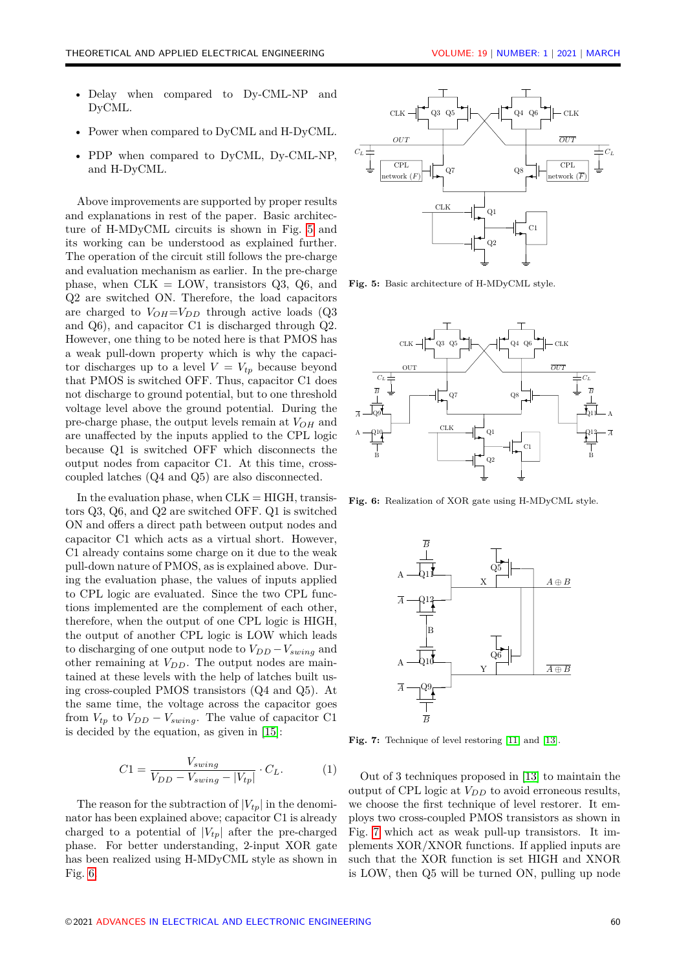- Delay when compared to Dy-CML-NP and DyCML.
- Power when compared to DyCML and H-DyCML.
- PDP when compared to DyCML, Dy-CML-NP, and H-DyCML.

Above improvements are supported by proper results and explanations in rest of the paper. Basic architecture of H-MDyCML circuits is shown in Fig. [5](#page-3-0) and its working can be understood as explained further. The operation of the circuit still follows the pre-charge and evaluation mechanism as earlier. In the pre-charge phase, when  $CLK = LOW$ , transistors  $Q3$ ,  $Q6$ , and Q2 are switched ON. Therefore, the load capacitors are charged to  $V_{OH} = V_{DD}$  through active loads (Q3) and Q6), and capacitor C1 is discharged through Q2. However, one thing to be noted here is that PMOS has a weak pull-down property which is why the capacitor discharges up to a level  $V = V_{tp}$  because beyond that PMOS is switched OFF. Thus, capacitor C1 does not discharge to ground potential, but to one threshold voltage level above the ground potential. During the pre-charge phase, the output levels remain at *VOH* and are unaffected by the inputs applied to the CPL logic because Q1 is switched OFF which disconnects the output nodes from capacitor C1. At this time, crosscoupled latches (Q4 and Q5) are also disconnected.

In the evaluation phase, when  $CLK = HIGH$ , transistors Q3, Q6, and Q2 are switched OFF. Q1 is switched ON and offers a direct path between output nodes and capacitor C1 which acts as a virtual short. However, C1 already contains some charge on it due to the weak pull-down nature of PMOS, as is explained above. During the evaluation phase, the values of inputs applied to CPL logic are evaluated. Since the two CPL functions implemented are the complement of each other, therefore, when the output of one CPL logic is HIGH, the output of another CPL logic is LOW which leads to discharging of one output node to  $V_{DD} - V_{\text{swing}}$  and other remaining at *VDD*. The output nodes are maintained at these levels with the help of latches built using cross-coupled PMOS transistors (Q4 and Q5). At the same time, the voltage across the capacitor goes from  $V_{tp}$  to  $V_{DD} - V_{swing}$ . The value of capacitor C1 is decided by the equation, as given in [\[15\]](#page-7-12):

<span id="page-3-3"></span>
$$
C1 = \frac{V_{swing}}{V_{DD} - V_{swing} - |V_{tp}|} \cdot C_L.
$$
 (1)

The reason for the subtraction of  $|V_{tv}|$  in the denominator has been explained above; capacitor C1 is already charged to a potential of  $|V_{tp}|$  after the pre-charged phase. For better understanding, 2-input XOR gate has been realized using H-MDyCML style as shown in Fig. [6.](#page-3-1)

<span id="page-3-0"></span>

**Fig. 5:** Basic architecture of H-MDyCML style.

<span id="page-3-1"></span>

<span id="page-3-2"></span>**Fig. 6:** Realization of XOR gate using H-MDyCML style.



**Fig. 7:** Technique of level restoring [\[11\]](#page-7-10) and [\[13\]](#page-7-13).

output of CPL logic at  $V_{DD}$  to avoid erroneous results, Out of 3 techniques proposed in [\[13\]](#page-7-13) to maintain the we choose the first technique of level restorer. It employs two cross-coupled PMOS transistors as shown in Fig. [7](#page-3-2) which act as weak pull-up transistors. It implements XOR/XNOR functions. If applied inputs are such that the XOR function is set HIGH and XNOR is LOW, then Q5 will be turned ON, pulling up node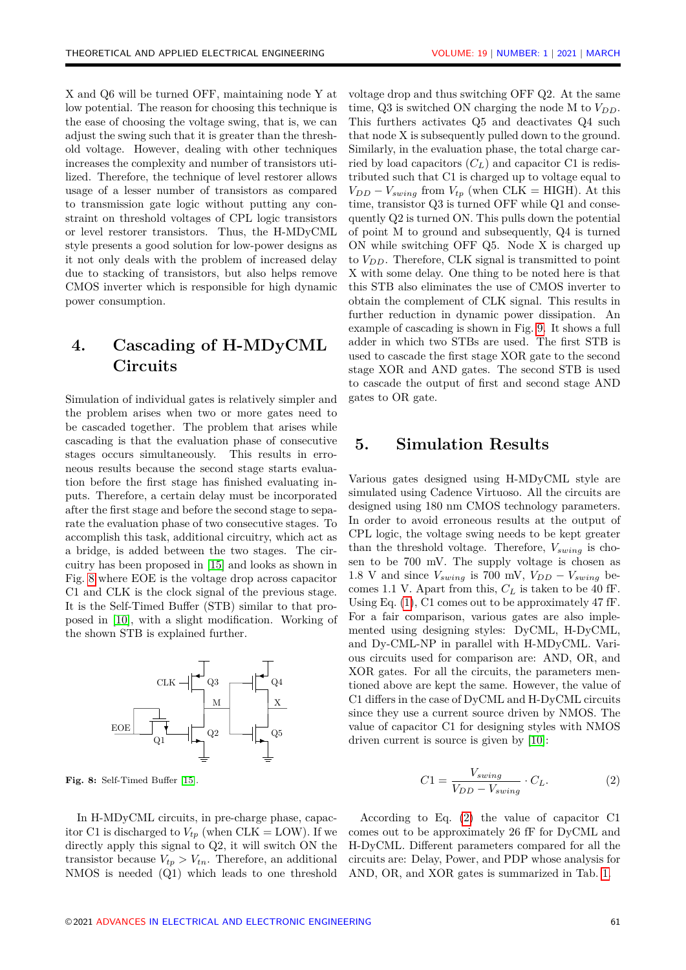X and Q6 will be turned OFF, maintaining node Y at low potential. The reason for choosing this technique is the ease of choosing the voltage swing, that is, we can adjust the swing such that it is greater than the threshold voltage. However, dealing with other techniques increases the complexity and number of transistors utilized. Therefore, the technique of level restorer allows usage of a lesser number of transistors as compared to transmission gate logic without putting any constraint on threshold voltages of CPL logic transistors or level restorer transistors. Thus, the H-MDyCML style presents a good solution for low-power designs as it not only deals with the problem of increased delay due to stacking of transistors, but also helps remove CMOS inverter which is responsible for high dynamic power consumption.

# <span id="page-4-0"></span>**4. Cascading of H-MDyCML Circuits**

Simulation of individual gates is relatively simpler and the problem arises when two or more gates need to be cascaded together. The problem that arises while cascading is that the evaluation phase of consecutive stages occurs simultaneously. This results in erroneous results because the second stage starts evaluation before the first stage has finished evaluating inputs. Therefore, a certain delay must be incorporated after the first stage and before the second stage to separate the evaluation phase of two consecutive stages. To accomplish this task, additional circuitry, which act as a bridge, is added between the two stages. The circuitry has been proposed in [\[15\]](#page-7-12) and looks as shown in Fig. [8](#page-4-2) where EOE is the voltage drop across capacitor C1 and CLK is the clock signal of the previous stage. It is the Self-Timed Buffer (STB) similar to that proposed in [\[10\]](#page-7-9), with a slight modification. Working of the shown STB is explained further.

<span id="page-4-2"></span>

**Fig. 8:** Self-Timed Buffer [\[15\]](#page-7-12).

voltage drop and thus switching OFF Q2. At the same time, Q3 is switched ON charging the node M to  $V_{DD}$ . This furthers activates Q5 and deactivates Q4 such that node X is subsequently pulled down to the ground. Similarly, in the evaluation phase, the total charge carried by load capacitors (*CL*) and capacitor C1 is redistributed such that C1 is charged up to voltage equal to  $V_{DD} - V_{swing}$  from  $V_{tp}$  (when CLK = HIGH). At this time, transistor Q3 is turned OFF while Q1 and consequently Q2 is turned ON. This pulls down the potential of point M to ground and subsequently, Q4 is turned ON while switching OFF Q5. Node X is charged up to  $V_{DD}$ . Therefore, CLK signal is transmitted to point X with some delay. One thing to be noted here is that this STB also eliminates the use of CMOS inverter to obtain the complement of CLK signal. This results in further reduction in dynamic power dissipation. An example of cascading is shown in Fig. [9.](#page-5-0) It shows a full adder in which two STBs are used. The first STB is used to cascade the first stage XOR gate to the second stage XOR and AND gates. The second STB is used to cascade the output of first and second stage AND gates to OR gate.

### <span id="page-4-1"></span>**5. Simulation Results**

Various gates designed using H-MDyCML style are simulated using Cadence Virtuoso. All the circuits are designed using 180 nm CMOS technology parameters. In order to avoid erroneous results at the output of CPL logic, the voltage swing needs to be kept greater than the threshold voltage. Therefore, *Vswing* is chosen to be 700 mV. The supply voltage is chosen as 1.8 V and since  $V_{\text{swing}}$  is 700 mV,  $V_{DD} - V_{\text{swing}}$  becomes 1.1 V. Apart from this, *C<sup>L</sup>* is taken to be 40 fF. Using Eq. [\(1\)](#page-3-3), C1 comes out to be approximately 47 fF. For a fair comparison, various gates are also implemented using designing styles: DyCML, H-DyCML, and Dy-CML-NP in parallel with H-MDyCML. Various circuits used for comparison are: AND, OR, and XOR gates. For all the circuits, the parameters mentioned above are kept the same. However, the value of C1 differs in the case of DyCML and H-DyCML circuits since they use a current source driven by NMOS. The value of capacitor C1 for designing styles with NMOS driven current is source is given by [\[10\]](#page-7-9):

<span id="page-4-3"></span>
$$
C1 = \frac{V_{swing}}{V_{DD} - V_{swing}} \cdot C_L.
$$
 (2)

In H-MDyCML circuits, in pre-charge phase, capacitor C1 is discharged to  $V_{tp}$  (when CLK = LOW). If we directly apply this signal to Q2, it will switch ON the transistor because  $V_{tp} > V_{tn}$ . Therefore, an additional NMOS is needed (Q1) which leads to one threshold

According to Eq. [\(2\)](#page-4-3) the value of capacitor C1 comes out to be approximately 26 fF for DyCML and H-DyCML. Different parameters compared for all the circuits are: Delay, Power, and PDP whose analysis for AND, OR, and XOR gates is summarized in Tab. [1.](#page-5-1)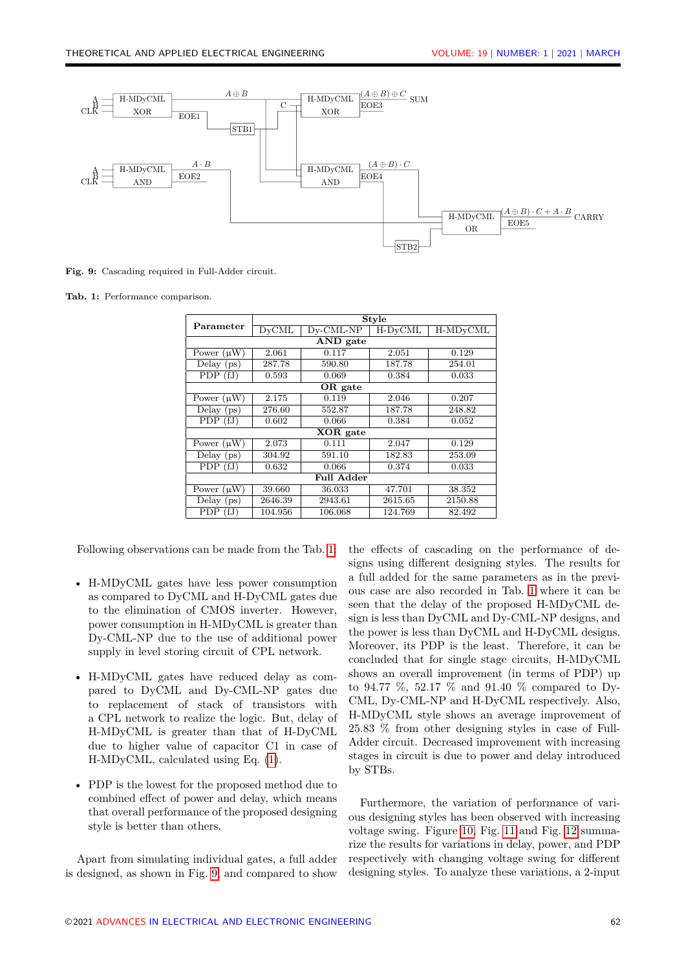<span id="page-5-0"></span>

**Fig. 9:** Cascading required in Full-Adder circuit.

<span id="page-5-1"></span>**Tab. 1:** Performance comparison.

| Parameter                  | <b>Style</b> |              |           |                       |
|----------------------------|--------------|--------------|-----------|-----------------------|
|                            | <b>DyCML</b> | $Dv$ -CML-NP | $H-DyCML$ | H-MD <sub>v</sub> CML |
| AND gate                   |              |              |           |                       |
| Power $(\mu \overline{W})$ | 2.061        | 0.117        | 2.051     | 0.129                 |
| Delay $(ps)$               | 287.78       | 590.80       | 187.78    | 254.01                |
| PDP(fJ)                    | 0.593        | 0.069        | 0.384     | 0.033                 |
| OR gate                    |              |              |           |                       |
| Power $(\mu W)$            | 2.175        | 0.119        | 2.046     | 0.207                 |
| Delay $(ps)$               | 276.60       | 552.87       | 187.78    | 248.82                |
| PDP(fJ)                    | 0.602        | 0.066        | 0.384     | 0.052                 |
| XOR gate                   |              |              |           |                       |
| Power $(\mu W)$            | 2.073        | 0.111        | 2.047     | 0.129                 |
| Delay $(ps)$               | 304.92       | 591.10       | 182.83    | 253.09                |
| PDP(fJ)                    | 0.632        | 0.066        | 0.374     | 0.033                 |
| Full Adder                 |              |              |           |                       |
| Power $(\mu W)$            | 39.660       | 36.033       | 47.701    | 38.352                |
| Delay (ps)                 | 2646.39      | 2943.61      | 2615.65   | 2150.88               |
| PDP<br>(fJ)                | 104.956      | 106.068      | 124.769   | 82.492                |

Following observations can be made from the Tab. [1:](#page-5-1)

- H-MDyCML gates have less power consumption as compared to DyCML and H-DyCML gates due to the elimination of CMOS inverter. However, power consumption in H-MDyCML is greater than Dy-CML-NP due to the use of additional power supply in level storing circuit of CPL network.
- H-MDyCML gates have reduced delay as compared to DyCML and Dy-CML-NP gates due to replacement of stack of transistors with a CPL network to realize the logic. But, delay of H-MDyCML is greater than that of H-DyCML due to higher value of capacitor C1 in case of H-MDyCML, calculated using Eq. [\(1\)](#page-3-3).
- PDP is the lowest for the proposed method due to combined effect of power and delay, which means that overall performance of the proposed designing style is better than others.

Apart from simulating individual gates, a full adder is designed, as shown in Fig. [9,](#page-5-0) and compared to show

the effects of cascading on the performance of designs using different designing styles. The results for a full added for the same parameters as in the previous case are also recorded in Tab. [1](#page-5-1) where it can be seen that the delay of the proposed H-MDyCML design is less than DyCML and Dy-CML-NP designs, and the power is less than DyCML and H-DyCML designs. Moreover, its PDP is the least. Therefore, it can be concluded that for single stage circuits, H-MDyCML shows an overall improvement (in terms of PDP) up to 94.77 %, 52.17 % and 91.40 % compared to Dy-CML, Dy-CML-NP and H-DyCML respectively. Also, H-MDyCML style shows an average improvement of 25.83 % from other designing styles in case of Full-Adder circuit. Decreased improvement with increasing stages in circuit is due to power and delay introduced by STBs.

Furthermore, the variation of performance of various designing styles has been observed with increasing voltage swing. Figure [10,](#page-6-1) Fig. [11](#page-6-2) and Fig. [12](#page-6-3) summarize the results for variations in delay, power, and PDP respectively with changing voltage swing for different designing styles. To analyze these variations, a 2-input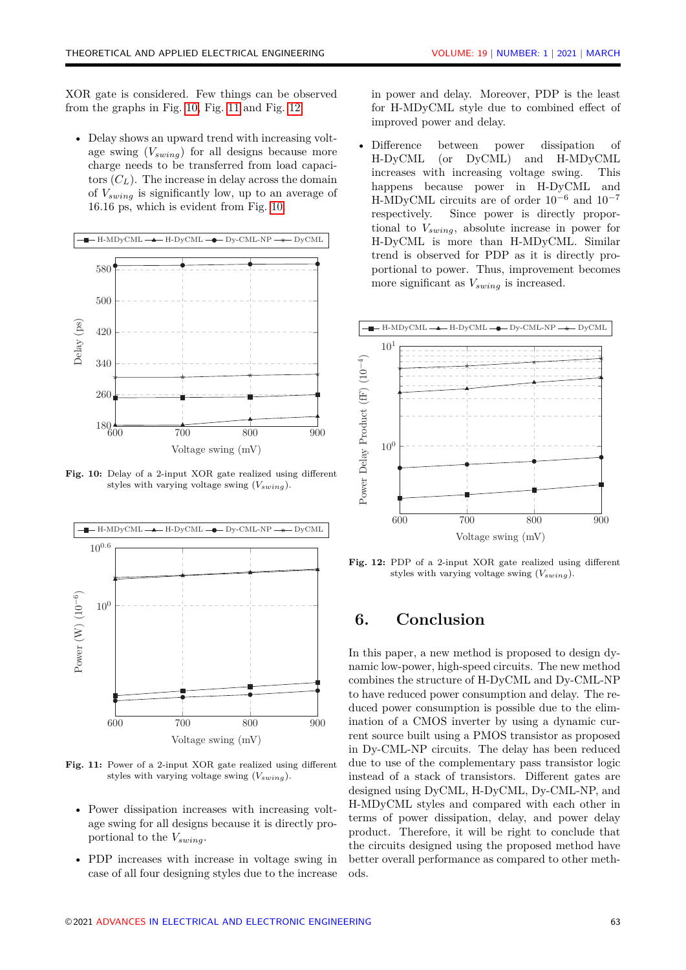XOR gate is considered. Few things can be observed **XOR gate** from the graphs in Fig.  $10$ , Fig.  $11$  and Fig.  $12$ :

<span id="page-6-1"></span>• Delay shows an upward trend with increasing volt-<br>  $\sum_{i=1}^{n}$ age swing  $(V_{swing})$  for all designs because more charge needs to be transferred from load capacitors  $(C_L)$ . The increase in delay across the domain of *Vswing* is significantly low, up to an average of 16.16 ps, which is evident from Fig. [10.](#page-6-1)



**Fig. 10:** Delay of a 2-input XOR gate realized using different styles with varying voltage swing  $(V_{swing})$ .

<span id="page-6-2"></span>

**Fig. 10:** Power of a 2-input XOR gate realized using different **Fig. 11:** Power of a 2-input XOR gate realized using different styles with varying voltage swing (*Vswing*). styles with varying voltage swing (*Vswing*).

- Power dissipation increases with increasing voltage swing for all designs because it is directly proportional to the *Vswing*.
- case of all four designing styles due to the increase oc • PDP increases with increase in voltage swing in

Fig. 10, Fig. 11 and Fig. 12: for H-MDyCML style due to combined effect of improved power and delay. in power and delay. Moreover, PDP is the least

be transferred from load capaci-<br>increases with increasing voltage swing. This  $\text{Lipm}$  is a constant in the contract of the happens because power in H-DyCML and  $\mu$ <sup>10</sup> 10<sup>-7</sup> and 10<sup>-7</sup> and 10<sup>-7</sup> and 10<sup>-7</sup> trend is observed for PDP as it is directly pro-H-DyCML is more than H-MDyCML. Similar • Difference between power dissipation of H-DyCML (or DyCML) and H-MDyCML respectively. Since power is directly proportional to *Vswing*, absolute increase in power for portional to power. Thus, improvement becomes more significant as  $V_{swing}$  is increased.

<span id="page-6-3"></span>

**Fig. 11:** PDP of a 2-input XOR gate realized using different **Fig. 12:** PDP of a 2-input XOR gate realized using different styles with varying voltage swing (*Vswing*). styles with varying voltage swing (*Vswing*).

## <span id="page-6-0"></span>voltage swing. Figures 10, 11 and 12 summarize the **6. Conclusion**

In this paper, a new method is proposed to design dynamic low-power, high-speed circuits. The new method combines the structure of H-DyCML and Dy-CML-NP to have reduced power consumption and delay. The rerent source built using a PMOS transistor as proposed in Dy-CML-NP circuits. The delay has been reduced due to use of the complementary pass transistor logic instead of a stack of transistors. Different gates are designed using DyCML, H-DyCML, Dy-CML-NP, and<br>H-MD-CML, to an average of an average of the significant of the significant of the significant of the significant H-MDyCML styles and compared with each other in the circuits designed using the proposed method have better overall performance as compared to other methduced power consumption is possible due to the elimination of a CMOS inverter by using a dynamic curterms of power dissipation, delay, and power delay product. Therefore, it will be right to conclude that ods.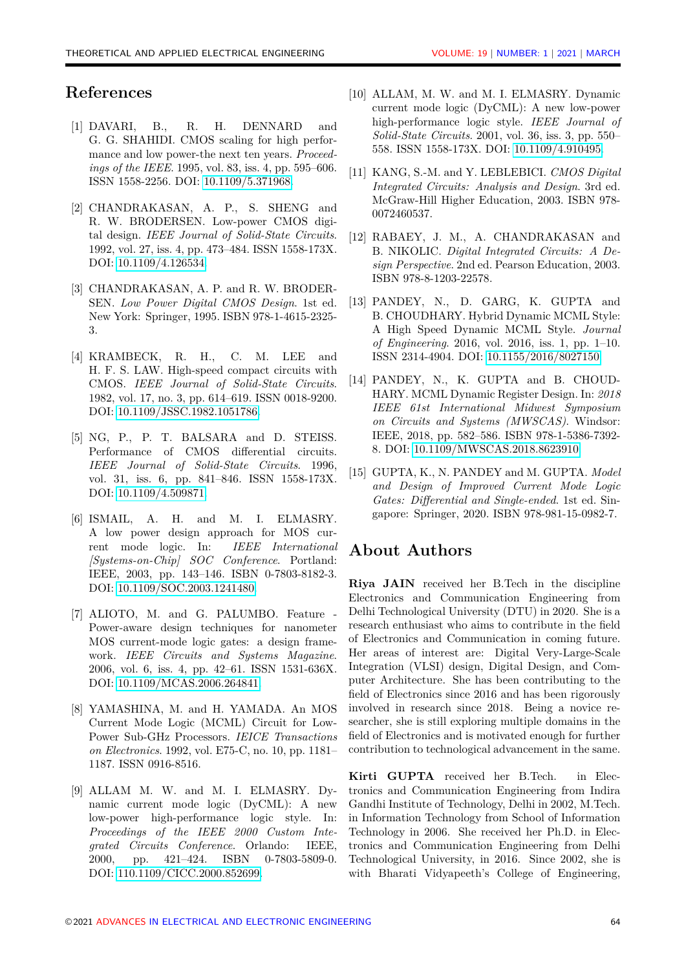### **References**

- <span id="page-7-0"></span>[1] DAVARI, B., R. H. DENNARD and G. G. SHAHIDI. CMOS scaling for high performance and low power-the next ten years. *Proceedings of the IEEE*. 1995, vol. 83, iss. 4, pp. 595–606. ISSN 1558-2256. DOI: [10.1109/5.371968.](http://dx.doi.org/10.1109/5.371968)
- <span id="page-7-1"></span>[2] CHANDRAKASAN, A. P., S. SHENG and R. W. BRODERSEN. Low-power CMOS digital design. *IEEE Journal of Solid-State Circuits*. 1992, vol. 27, iss. 4, pp. 473–484. ISSN 1558-173X. DOI: [10.1109/4.126534.](http://dx.doi.org/10.1109/4.126534)
- <span id="page-7-2"></span>[3] CHANDRAKASAN, A. P. and R. W. BRODER-SEN. *Low Power Digital CMOS Design*. 1st ed. New York: Springer, 1995. ISBN 978-1-4615-2325- 3.
- <span id="page-7-3"></span>[4] KRAMBECK, R. H., C. M. LEE and H. F. S. LAW. High-speed compact circuits with CMOS. *IEEE Journal of Solid-State Circuits*. 1982, vol. 17, no. 3, pp. 614–619. ISSN 0018-9200. DOI: [10.1109/JSSC.1982.1051786.](http://dx.doi.org/10.1109/JSSC.1982.1051786)
- <span id="page-7-4"></span>[5] NG, P., P. T. BALSARA and D. STEISS. Performance of CMOS differential circuits. *IEEE Journal of Solid-State Circuits*. 1996, vol. 31, iss. 6, pp. 841–846. ISSN 1558-173X. DOI: [10.1109/4.509871.](http://dx.doi.org/10.1109/4.509871)
- <span id="page-7-5"></span>[6] ISMAIL, A. H. and M. I. ELMASRY. A low power design approach for MOS current mode logic. In: *IEEE International [Systems-on-Chip] SOC Conference*. Portland: IEEE, 2003, pp. 143–146. ISBN 0-7803-8182-3. DOI: [10.1109/SOC.2003.1241480.](http://dx.doi.org/10.1109/SOC.2003.1241480)
- <span id="page-7-6"></span>[7] ALIOTO, M. and G. PALUMBO. Feature - Power-aware design techniques for nanometer MOS current-mode logic gates: a design framework. *IEEE Circuits and Systems Magazine*. 2006, vol. 6, iss. 4, pp. 42–61. ISSN 1531-636X. DOI: [10.1109/MCAS.2006.264841.](http://dx.doi.org/10.1109/MCAS.2006.264841)
- <span id="page-7-7"></span>[8] YAMASHINA, M. and H. YAMADA. An MOS Current Mode Logic (MCML) Circuit for Low-Power Sub-GHz Processors. *IEICE Transactions on Electronics*. 1992, vol. E75-C, no. 10, pp. 1181– 1187. ISSN 0916-8516.
- <span id="page-7-8"></span>[9] ALLAM M. W. and M. I. ELMASRY. Dynamic current mode logic (DyCML): A new low-power high-performance logic style. In: *Proceedings of the IEEE 2000 Custom Integrated Circuits Conference*. Orlando: IEEE, 2000, pp. 421–424. ISBN 0-7803-5809-0. DOI: [110.1109/CICC.2000.852699.](http://dx.doi.org/10.1109/CICC.2000.852699)
- <span id="page-7-9"></span>[10] ALLAM, M. W. and M. I. ELMASRY. Dynamic current mode logic (DyCML): A new low-power high-performance logic style. *IEEE Journal of Solid-State Circuits*. 2001, vol. 36, iss. 3, pp. 550– 558. ISSN 1558-173X. DOI: [10.1109/4.910495.](http://dx.doi.org/10.1109/4.910495)
- <span id="page-7-10"></span>[11] KANG, S.-M. and Y. LEBLEBICI. *CMOS Digital Integrated Circuits: Analysis and Design*. 3rd ed. McGraw-Hill Higher Education, 2003. ISBN 978- 0072460537.
- <span id="page-7-11"></span>[12] RABAEY, J. M., A. CHANDRAKASAN and B. NIKOLIC. *Digital Integrated Circuits: A Design Perspective*. 2nd ed. Pearson Education, 2003. ISBN 978-8-1203-22578.
- <span id="page-7-13"></span>[13] PANDEY, N., D. GARG, K. GUPTA and B. CHOUDHARY. Hybrid Dynamic MCML Style: A High Speed Dynamic MCML Style. *Journal of Engineering*. 2016, vol. 2016, iss. 1, pp. 1–10. ISSN 2314-4904. DOI: [10.1155/2016/8027150.](http://dx.doi.org/10.1155/2016/8027150)
- <span id="page-7-14"></span>[14] PANDEY, N., K. GUPTA and B. CHOUD-HARY. MCML Dynamic Register Design. In: *2018 IEEE 61st International Midwest Symposium on Circuits and Systems (MWSCAS)*. Windsor: IEEE, 2018, pp. 582–586. ISBN 978-1-5386-7392- 8. DOI: [10.1109/MWSCAS.2018.8623910.](http://dx.doi.org/10.1109/MWSCAS.2018.8623910)
- <span id="page-7-12"></span>[15] GUPTA, K., N. PANDEY and M. GUPTA. *Model and Design of Improved Current Mode Logic Gates: Differential and Single-ended*. 1st ed. Singapore: Springer, 2020. ISBN 978-981-15-0982-7.

### **About Authors**

**Riya JAIN** received her B.Tech in the discipline Electronics and Communication Engineering from Delhi Technological University (DTU) in 2020. She is a research enthusiast who aims to contribute in the field of Electronics and Communication in coming future. Her areas of interest are: Digital Very-Large-Scale Integration (VLSI) design, Digital Design, and Computer Architecture. She has been contributing to the field of Electronics since 2016 and has been rigorously involved in research since 2018. Being a novice researcher, she is still exploring multiple domains in the field of Electronics and is motivated enough for further contribution to technological advancement in the same.

**Kirti GUPTA** received her B.Tech. in Electronics and Communication Engineering from Indira Gandhi Institute of Technology, Delhi in 2002, M.Tech. in Information Technology from School of Information Technology in 2006. She received her Ph.D. in Electronics and Communication Engineering from Delhi Technological University, in 2016. Since 2002, she is with Bharati Vidyapeeth's College of Engineering,